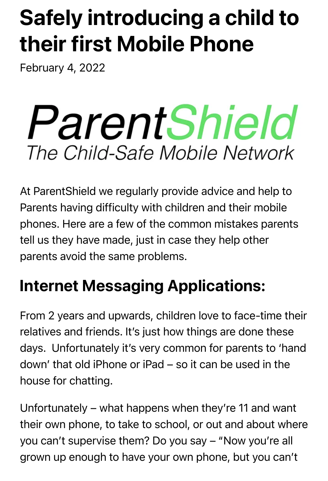## Safely introducing a child to their first Mobile Phone

February 4, 2022

# ParentShield The Child-Safe Mobile Network

At ParentShield we regularly provide advice and help to Parents having difficulty with children and their mobile phones. Here are a few of the common mistakes parents tell us they have made, just in case they help other parents avoid the same problems.

### Internet Messaging Applications:

From 2 years and upwards, children love to face-time their relatives and friends. It's just how things are done these days. Unfortunately it's very common for parents to 'hand down' that old iPhone or iPad – so it can be used in the house for chatting.

Unfortunately – what happens when they're 11 and want their own phone, to take to school, or out and about where you can't supervise them? Do you say – "Now you're all grown up enough to have your own phone, but you can't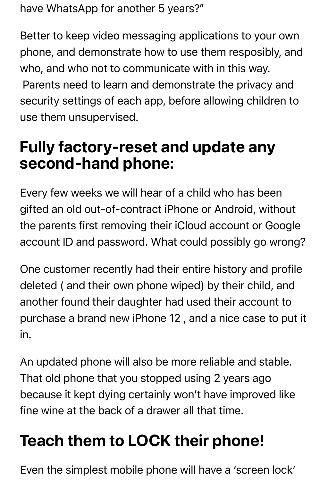have WhatsApp for another 5 years?"

Better to keep video messaging applications to your own phone, and demonstrate how to use them resposibly, and who, and who not to communicate with in this way.

 Parents need to learn and demonstrate the privacy and security settings of each app, before allowing children to use them unsupervised.

#### Fully factory-reset and update any second-hand phone:

Every few weeks we will hear of a child who has been gifted an old out-of-contract iPhone or Android, without the parents first removing their iCloud account or Google account ID and password. What could possibly go wrong?

One customer recently had their entire history and profile deleted ( and their own phone wiped) by their child, and another found their daughter had used their account to purchase a brand new iPhone 12 , and a nice case to put it in.

An updated phone will also be more reliable and stable. That old phone that you stopped using 2 years ago because it kept dying certainly won't have improved like fine wine at the back of a drawer all that time.

## Teach them to LOCK their phone!

Even the simplest mobile phone will have a 'screen lock'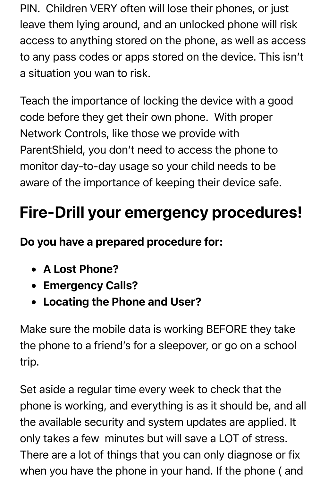PIN. Children VERY often will lose their phones, or just leave them lying around, and an unlocked phone will risk access to anything stored on the phone, as well as access to any pass codes or apps stored on the device. This isn't a situation you wan to risk.

Teach the importance of locking the device with a good code before they get their own phone. With proper Network Controls, like those we provide with ParentShield, you don't need to access the phone to monitor day-to-day usage so your child needs to be aware of the importance of keeping their device safe.

#### Fire-Drill your emergency procedures!

Do you have a prepared procedure for:

- A Lost Phone?
- **Emergency Calls?**
- Locating the Phone and User?

Make sure the mobile data is working BEFORE they take the phone to a friend's for a sleepover, or go on a school trip.

Set aside a regular time every week to check that the phone is working, and everything is as it should be, and all the available security and system updates are applied. It only takes a few minutes but will save a LOT of stress. There are a lot of things that you can only diagnose or fix when you have the phone in your hand. If the phone ( and